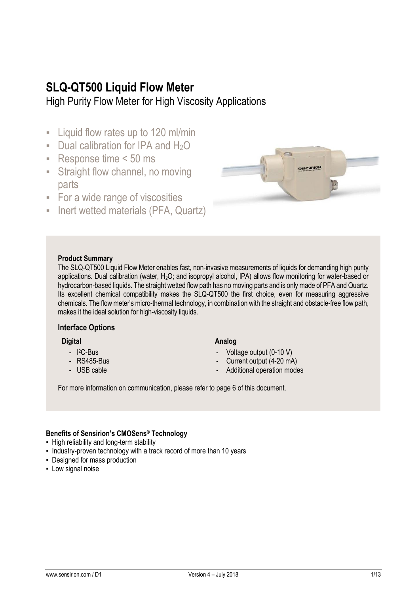## **SLQ-QT500 Liquid Flow Meter**

High Purity Flow Meter for High Viscosity Applications

- **EXECUTE:** Liquid flow rates up to 120 ml/min
- **Dual calibration for IPA and**  $H_2O$
- Response time < 50 ms
- **EXTERGHS** Straight flow channel, no moving parts
- **EXECT:** For a wide range of viscosities
- **Inert wetted materials (PFA, Quartz)**



#### **Product Summary**

The SLQ-QT500 Liquid Flow Meter enables fast, non-invasive measurements of liquids for demanding high purity applications. Dual calibration (water, H<sub>2</sub>O; and isopropyl alcohol, IPA) allows flow monitoring for water-based or hydrocarbon-based liquids. The straight wetted flow path has no moving parts and is onlymade of PFA and Quartz. Its excellent chemical compatibility makes the SLQ-QT500 the first choice, even for measuring aggressive chemicals. The flow meter's micro-thermal technology, in combination with the straight and obstacle-free flow path, makes it the ideal solution for high-viscosity liquids.

#### **Interface Options**

**Digital**

- I <sup>2</sup>C-Bus
- RS485-Bus
- USB cable

#### **Analog**

- Voltage output (0-10 V)
- Current output (4-20 mA)
- Additional operation modes

For more information on communication, please refer to page 6 of this document.

#### **Benefits of Sensirion's CMOSens® Technology**

- **.** High reliability and long-term stability
- Industry-proven technology with a track record of more than 10 years
- Designed for mass production
- **-** Low signal noise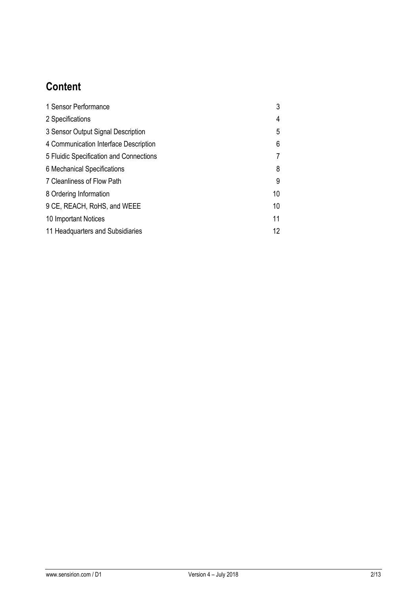# **Content**

| 1 Sensor Performance                    | 3  |
|-----------------------------------------|----|
| 2 Specifications                        | 4  |
| 3 Sensor Output Signal Description      | 5  |
| 4 Communication Interface Description   | 6  |
| 5 Fluidic Specification and Connections |    |
| 6 Mechanical Specifications             | 8  |
| 7 Cleanliness of Flow Path              | 9  |
| 8 Ordering Information                  | 10 |
| 9 CE, REACH, RoHS, and WEEE             | 10 |
| 10 Important Notices                    | 11 |
| 11 Headquarters and Subsidiaries        | 12 |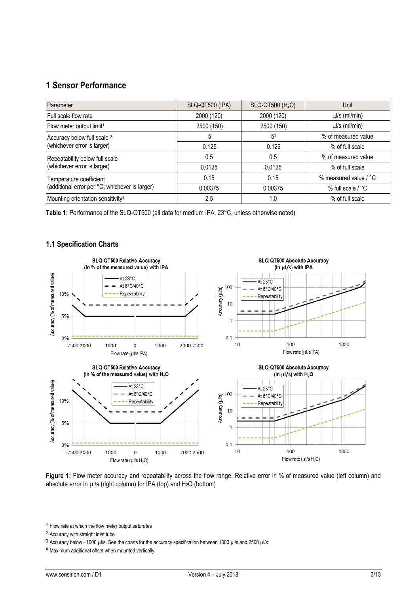## **1 Sensor Performance**

| Parameter                                      | SLQ-QT500 (IPA) | SLQ-QT500 (H <sub>2</sub> O) | Unit                  |
|------------------------------------------------|-----------------|------------------------------|-----------------------|
| Full scale flow rate                           | 2000 (120)      | 2000 (120)                   | $\mu$ /s (ml/min)     |
| Flow meter output limit <sup>1</sup>           | 2500 (150)      | 2500 (150)                   | $\mu$ /s (ml/min)     |
| Accuracy below full scale <sup>2</sup>         | 5               | 5 <sup>3</sup>               | % of measured value   |
| (whichever error is larger)                    | 0.125           | 0.125                        | % of full scale       |
| Repeatability below full scale                 | 0.5             | 0.5                          | % of measured value   |
| (whichever error is larger)                    | 0.0125          | 0.0125                       | % of full scale       |
| Temperature coefficient                        | 0.15            | 0.15                         | % measured value / °C |
| (additional error per °C; whichever is larger) | 0.00375         | 0.00375                      | % full scale / °C     |
| Mounting orientation sensitivity <sup>4</sup>  | 2.5             | 1.0                          | % of full scale       |

**Table 1:** Performance of the SLQ-QT500 (all data for medium IPA, 23°C, unless otherwise noted)

#### **1.1 Specification Charts**



Figure 1: Flow meter accuracy and repeatability across the flow range. Relative error in % of measured value (left column) and absolute error in µl/s (right column) for IPA (top) and H2O (bottom)

<sup>1</sup> Flow rate at which the flow meter output saturates

<sup>2</sup> Accuracy with straight inlet tube

<sup>3</sup> Accuracy below ±1000 µl/s. See the charts for the accuracy specification between 1000 µl/s and 2500 µl/s

<sup>4</sup> Maximum additional offset when mounted vertically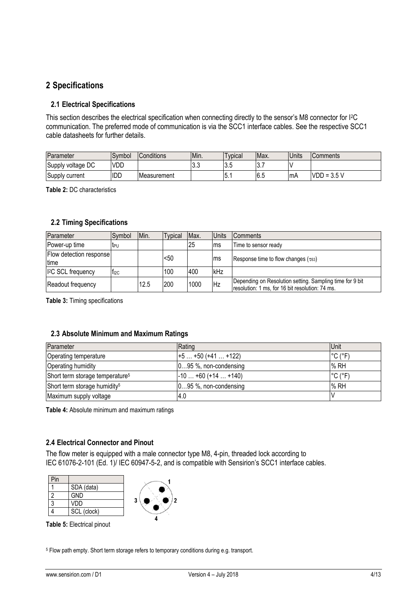## **2 Specifications**

#### **2.1 Electrical Specifications**

This section describes the electrical specification when connecting directly to the sensor's M8 connector for I<sup>2</sup>C communication. The preferred mode of communication is via the SCC1 interface cables. See the respective SCC1 cable datasheets for further details.

| Parameter         | Symbol | Conditions  | IMin. | vpical   | Max.   | Units | Comments             |
|-------------------|--------|-------------|-------|----------|--------|-------|----------------------|
| Supply voltage DC | VDD    |             | v.v   | c<br>v.v | י ט    |       |                      |
| Supply current    | IDD    | Measurement |       | v.       | - 16.5 | mA    | Е.<br>$VDD =$<br>ບ.ບ |

**Table 2:** DC characteristics

#### **2.2 Timing Specifications**

| Parameter                       | Symbol    | Min. | <b>Typical</b> | Max. | <b>Units</b> | <b>Comments</b>                                                                                             |
|---------------------------------|-----------|------|----------------|------|--------------|-------------------------------------------------------------------------------------------------------------|
| <b>Power-up time</b>            | teu       |      |                | 25   | ms           | Time to sensor ready                                                                                        |
| Flow detection response<br>time |           |      | <50            |      | Ims          | Response time to flow changes ( $\tau$ <sub>63</sub> )                                                      |
| <sup>2</sup> C SCL frequency    | $f_{12C}$ |      | 100            | 400  | kHz          |                                                                                                             |
| Readout frequency               |           | 12.5 | 200            | 1000 | <b>Hz</b>    | Depending on Resolution setting. Sampling time for 9 bit<br>resolution: 1 ms, for 16 bit resolution: 74 ms. |

**Table 3:** Timing specifications

#### **2.3 Absolute Minimum and Maximum Ratings**

| Parameter                                   | Rating                  | <b>Unit</b>                                               |
|---------------------------------------------|-------------------------|-----------------------------------------------------------|
| <b>Operating temperature</b>                | $+5+50(+41+122)$        | $\degree$ C ( $\degree$ F)                                |
| Operating humidity                          | 095 %, non-condensing   | % RH                                                      |
| Short term storage temperature <sup>5</sup> | $-10+60 (+14+140)$      | $\mathsf{I}^\circ \mathsf{C}$ ( $\mathsf{P} \mathsf{F}$ ) |
| Short term storage humidity <sup>5</sup>    | $095$ %, non-condensing | % RH                                                      |
| Maximum supply voltage                      | 4.0                     |                                                           |

**Table 4:** Absolute minimum and maximum ratings

#### **2.4 Electrical Connector and Pinout**

The flow meter is equipped with a male connector type M8, 4-pin, threaded lock according to IEC 61076-2-101 (Ed. 1)/ IEC 60947-5-2, and is compatible with Sensirion's SCC1 interface cables.

| Pin |             |   |
|-----|-------------|---|
|     | SDA (data)  |   |
|     | <b>GND</b>  |   |
|     | VDD         | 2 |
|     | SCL (clock) |   |
|     |             |   |

**Table 5:** Electrical pinout

<sup>5</sup> Flow path empty. Short term storage refers to temporary conditions during e.g. transport.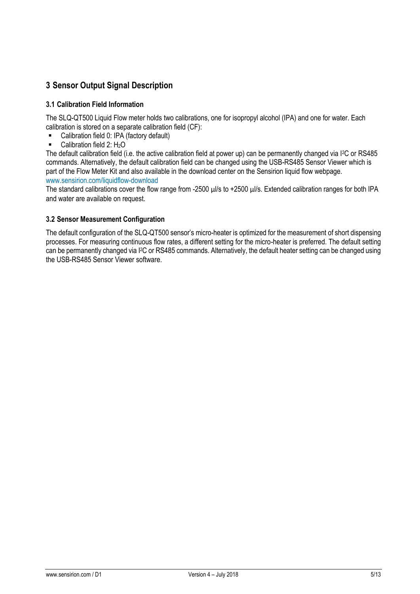## **3 Sensor Output Signal Description**

#### **3.1 Calibration Field Information**

The SLQ-QT500 Liquid Flow meter holds two calibrations, one for isopropyl alcohol (IPA) and one for water. Each calibration is stored on a separate calibration field (CF):

- **Calibration field 0: IPA (factory default)**
- $\blacksquare$  Calibration field 2: H<sub>2</sub>O

The default calibration field (i.e. the active calibration field at power up) can be permanently changed via I<sup>2</sup>C or RS485 commands. Alternatively, the default calibration field can be changed using the USB-RS485 Sensor Viewer which is part of the Flow Meter Kit and also available in the download center on the Sensirion liquid flow webpage. [www.sensirion.com/liquidflow-download](http://www.sensirion.com/liquidflow-download)

The standard calibrations cover the flow range from -2500 µl/s to +2500 µl/s. Extended calibration ranges for both IPA and water are available on request.

#### **3.2 Sensor Measurement Configuration**

The default configuration of the SLQ-QT500 sensor's micro-heater is optimized for the measurement of short dispensing processes. For measuring continuous flow rates, a different setting for the micro-heater is preferred. The default setting can be permanently changed via I<sup>2</sup>C or RS485 commands. Alternatively, the default heater setting can be changed using the USB-RS485 Sensor Viewer software.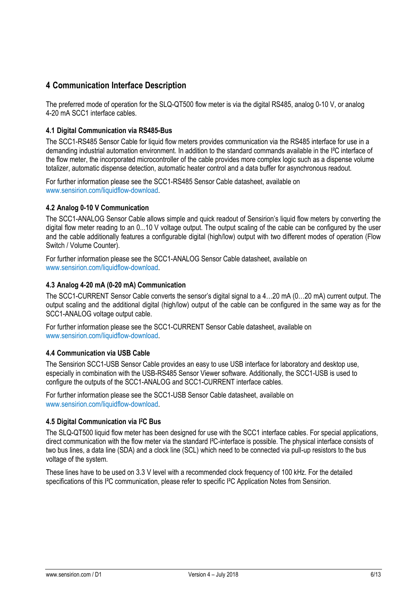## **4 Communication Interface Description**

The preferred mode of operation for the SLQ-QT500 flow meter is via the digital RS485, analog 0-10 V, or analog 4-20 mA SCC1 interface cables.

#### **4.1 Digital Communication via RS485-Bus**

The SCC1-RS485 Sensor Cable for liquid flow meters provides communication via the RS485 interface for use in a demanding industrial automation environment. In addition to the standard commands available in the I²C interface of the flow meter, the incorporated microcontroller of the cable provides more complex logic such as a dispense volume totalizer, automatic dispense detection, automatic heater control and a data buffer for asynchronous readout.

For further information please see the SCC1-RS485 Sensor Cable datasheet, available on [www.sensirion.com/liquidflow-download.](http://www.sensirion.com/liquidflow-download)

#### **4.2 Analog 0-10 V Communication**

The SCC1-ANALOG Sensor Cable allows simple and quick readout of Sensirion's liquid flow meters by converting the digital flow meter reading to an 0...10 V voltage output. The output scaling of the cable can be configured by the user and the cable additionally features a configurable digital (high/low) output with two different modes of operation (Flow Switch / Volume Counter).

For further information please see the SCC1-ANALOG Sensor Cable datasheet, available on [www.sensirion.com/liquidflow-download.](http://www.sensirion.com/liquidflow-download)

#### **4.3 Analog 4-20 mA (0-20 mA) Communication**

The SCC1-CURRENT Sensor Cable converts the sensor's digital signal to a 4…20 mA (0…20 mA) current output. The output scaling and the additional digital (high/low) output of the cable can be configured in the same way as for the SCC1-ANALOG voltage output cable.

For further information please see the SCC1-CURRENT Sensor Cable datasheet, available on [www.sensirion.com/liquidflow-download.](http://www.sensirion.com/liquidflow-download)

#### **4.4 Communication via USB Cable**

The Sensirion SCC1-USB Sensor Cable provides an easy to use USB interface for laboratory and desktop use, especially in combination with the USB-RS485 Sensor Viewer software. Additionally, the SCC1-USB is used to configure the outputs of the SCC1-ANALOG and SCC1-CURRENT interface cables.

For further information please see the SCC1-USB Sensor Cable datasheet, available on [www.sensirion.com/liquidflow-download.](http://www.sensirion.com/liquidflow-download)

#### **4.5 Digital Communication via I <sup>2</sup>C Bus**

The SLQ-QT500 liquid flow meter has been designed for use with the SCC1 interface cables. For special applications, direct communication with the flow meter via the standard I<sup>2</sup>C-interface is possible. The physical interface consists of two bus lines, a data line (SDA) and a clock line (SCL) which need to be connected via pull-up resistors to the bus voltage of the system.

These lines have to be used on 3.3 V level with a recommended clock frequency of 100 kHz. For the detailed specifications of this I<sup>2</sup>C communication, please refer to specific I<sup>2</sup>C Application Notes from Sensirion.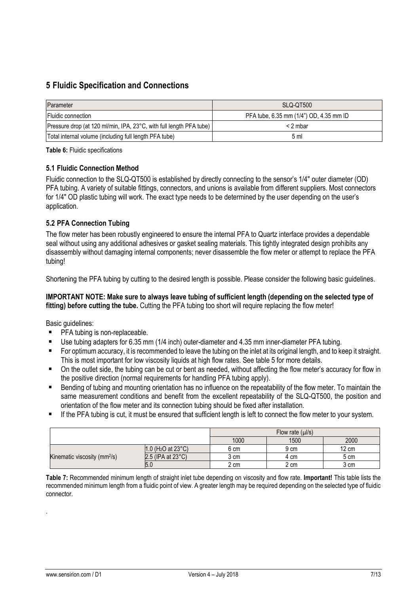## **5 Fluidic Specification and Connections**

| Parameter                                                           | SLQ-QT500                               |
|---------------------------------------------------------------------|-----------------------------------------|
| <b>Fluidic connection</b>                                           | PFA tube, 6.35 mm (1/4") OD, 4.35 mm ID |
| Pressure drop (at 120 ml/min, IPA, 23°C, with full length PFA tube) | $<$ 2 mbar                              |
| Total internal volume (including full length PFA tube)              | 5 <sub>m</sub>                          |

**Table 6:** Fluidic specifications

#### **5.1 Fluidic Connection Method**

Fluidic connection to the SLQ-QT500 is established by directly connecting to the sensor's 1/4" outer diameter (OD) PFA tubing. A variety of suitable fittings, connectors, and unions is available from different suppliers. Most connectors for 1/4" OD plastic tubing will work. The exact type needs to be determined by the user depending on the user's application.

#### **5.2 PFA Connection Tubing**

The flow meter has been robustly engineered to ensure the internal PFA to Quartz interface provides a dependable seal without using any additional adhesives or gasket sealing materials. This tightly integrated design prohibits any disassembly without damaging internal components; never disassemble the flow meter or attempt to replace the PFA tubing!

Shortening the PFA tubing by cutting to the desired length is possible. Please consider the following basic quidelines.

#### **IMPORTANT NOTE: Make sure to always leave tubing of sufficient length (depending on the selected type of**  fitting) before cutting the tube. Cutting the PFA tubing too short will require replacing the flow meter!

Basic guidelines:

- **PFA tubing is non-replaceable.**
- Use tubing adapters for 6.35 mm (1/4 inch) outer-diameter and 4.35 mm inner-diameter PFA tubing.
- For optimum accuracy, it is recommended to leave the tubing on the inlet at its original length, and to keep it straight. This is most important for low viscosity liquids at high flow rates. See table 5 for more details.
- On the outlet side, the tubing can be cut or bent as needed, without affecting the flow meter's accuracy for flow in the positive direction (normal requirements for handling PFA tubing apply).
- Bending of tubing and mounting orientation has no influence on the repeatability of the flow meter. To maintain the same measurement conditions and benefit from the excellent repeatability of the SLQ-QT500, the position and orientation of the flow meter and its connection tubing should be fixed after installation.
- If the PFA tubing is cut, it must be ensured that sufficient length is left to connect the flow meter to your system.

|                                          |                               | Flow rate $(\mu$ /s) |      |                 |
|------------------------------------------|-------------------------------|----------------------|------|-----------------|
|                                          |                               | 1000                 | 1500 | 2000            |
|                                          | 1.0 ( $H_2O$ at 23 $°C$ )     | 6 cm                 | 9 cm | $12 \text{ cm}$ |
| Kinematic viscosity (mm <sup>2</sup> /s) | $2.5$ (IPA at $23^{\circ}$ C) | 3 cm                 | 4 cm | 5 cm            |
|                                          | 5.0                           | 2 cm                 | 2 cm | 3 cm            |

**Table 7:** Recommended minimum length of straight inlet tube depending on viscosity and flow rate. **Important!** This table lists the recommended minimum length from a fluidic point of view. A greater length may be required depending on the selected type of fluidic connector.

.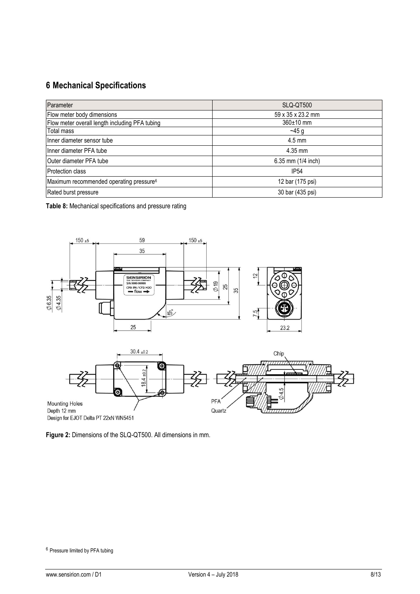## **6 Mechanical Specifications**

| Parameter                                           | SLQ-QT500          |
|-----------------------------------------------------|--------------------|
| Flow meter body dimensions                          | 59 x 35 x 23.2 mm  |
| Flow meter overall length including PFA tubing      | 360±10 mm          |
| Total mass                                          | $-45g$             |
| Ilnner diameter sensor tube                         | $4.5$ mm           |
| Ilnner diameter PFA tube                            | 4.35 mm            |
| Outer diameter PFA tube                             | 6.35 mm (1/4 inch) |
| <b>Protection class</b>                             | IP <sub>54</sub>   |
| Maximum recommended operating pressure <sup>6</sup> | 12 bar (175 psi)   |
| Rated burst pressure                                | 30 bar (435 psi)   |

**Table 8:** Mechanical specifications and pressure rating



**Figure 2:** Dimensions of the SLQ-QT500. All dimensions in mm.

<sup>6</sup> Pressure limited by PFA tubing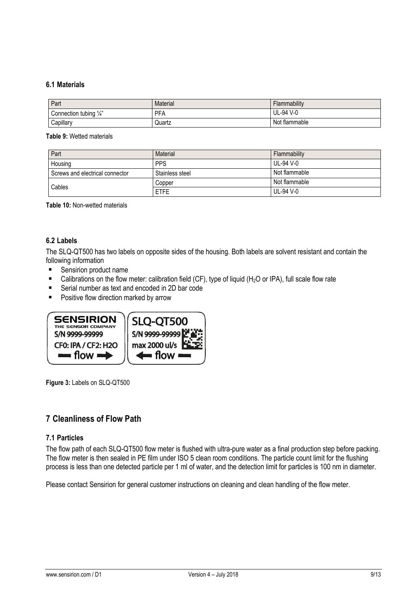#### **6.1 Materials**

| Part                          | Material   | Flammability  |
|-------------------------------|------------|---------------|
| 1/22<br>Connection tubing 1/4 | <b>PFA</b> | UL-94 V-0     |
| Capillary                     | Quartz     | Not flammable |

**Table 9:** Wetted materials

| Part                            | Material        | Flammability  |
|---------------------------------|-----------------|---------------|
| Housing                         | <b>PPS</b>      | UL-94 V-0     |
| Screws and electrical connector | Stainless steel | Not flammable |
| Cables                          | Copper          | Not flammable |
|                                 | <b>ETFE</b>     | UL-94 V-0     |

**Table 10:** Non-wetted materials

#### **6.2 Labels**

The SLQ-QT500 has two labels on opposite sides of the housing. Both labels are solvent resistant and contain the following information

- **Sensirion product name**
- Calibrations on the flow meter: calibration field (CF), type of liquid (H<sub>2</sub>O or IPA), full scale flow rate
- Serial number as text and encoded in 2D bar code
- **Positive flow direction marked by arrow**



**Figure 3:** Labels on SLQ-QT500

### **7 Cleanliness of Flow Path**

#### **7.1 Particles**

The flow path of each SLQ-QT500 flow meter is flushed with ultra-pure water as a final production step before packing. The flow meter is then sealed in PE film under ISO 5 clean room conditions. The particle count limit for the flushing process is less than one detected particle per 1 ml of water, and the detection limit for particles is 100 nm in diameter.

Please contact Sensirion for general customer instructions on cleaning and clean handling of the flow meter.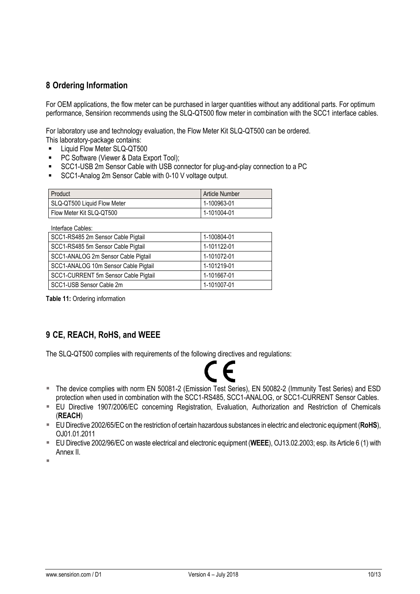## **8 Ordering Information**

For OEM applications, the flow meter can be purchased in larger quantities without any additional parts. For optimum performance, Sensirion recommends using the SLQ-QT500 flow meter in combination with the SCC1 interface cables.

For laboratory use and technology evaluation, the Flow Meter Kit SLQ-QT500 can be ordered. This laboratory-package contains:

- Liquid Flow Meter SLQ-QT500
- PC Software (Viewer & Data Export Tool);
- SCC1-USB 2m Sensor Cable with USB connector for plug-and-play connection to a PC
- SCC1-Analog 2m Sensor Cable with 0-10 V voltage output.

| Product                     | <b>Article Number</b> |
|-----------------------------|-----------------------|
| SLQ-QT500 Liquid Flow Meter | 1-100963-01           |
| Flow Meter Kit SLQ-QT500    | 1-101004-01           |

Interface Cables:

| 1-100804-01 |
|-------------|
| 1-101122-01 |
| 1-101072-01 |
| 1-101219-01 |
| 1-101667-01 |
| 1-101007-01 |
|             |

**Table 11:** Ordering information

## **9 CE, REACH, RoHS, and WEEE**

The SLQ-QT500 complies with requirements of the following directives and regulations:



- The device complies with norm EN 50081-2 (Emission Test Series), EN 50082-2 (Immunity Test Series) and ESD protection when used in combination with the SCC1-RS485, SCC1-ANALOG, or SCC1-CURRENT Sensor Cables.
- EU Directive 1907/2006/EC concerning Registration, Evaluation, Authorization and Restriction of Chemicals (**REACH**)
- EU Directive 2002/65/EC on the restriction of certain hazardous substances in electric and electronic equipment (**RoHS**), OJ01.01.2011
- EU Directive 2002/96/EC on waste electrical and electronic equipment (**WEEE**), OJ13.02.2003; esp. its Article 6 (1) with Annex II.

Î.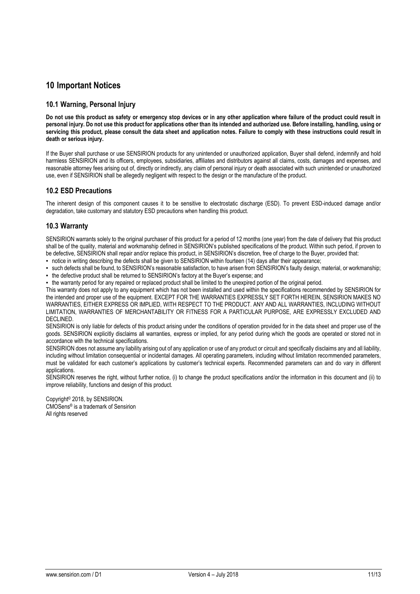### **10 Important Notices**

#### **10.1 Warning, Personal Injury**

**Do not use this product as safety or emergency stop devices or in any other application where failure of the product could result in personal injury. Do not use this product for applications other than its intended and authorized use. Before installing, handling, using or servicing this product, please consult the data sheet and application notes. Failure to comply with these instructions could result in death or serious injury.**

If the Buyer shall purchase or use SENSIRION products for any unintended or unauthorized application, Buyer shall defend, indemnify and hold harmless SENSIRION and its officers, employees, subsidiaries, affiliates and distributors against all claims, costs, damages and expenses, and reasonable attorney fees arising out of, directly or indirectly, any claim of personal injury or death associated with such unintended or unauthorized use, even if SENSIRION shall be allegedly negligent with respect to the design or the manufacture of the product.

#### **10.2 ESD Precautions**

The inherent design of this component causes it to be sensitive to electrostatic discharge (ESD). To prevent ESD-induced damage and/or degradation, take customary and statutory ESD precautions when handling this product.

#### **10.3 Warranty**

SENSIRION warrants solely to the original purchaser of this product for a period of 12 months (one year) from the date of delivery that this product shall be of the quality, material and workmanship defined in SENSIRION's published specifications of the product. Within such period, if proven to be defective, SENSIRION shall repair and/or replace this product, in SENSIRION's discretion, free of charge to the Buyer, provided that:

▪ notice in writing describing the defects shall be given to SENSIRION within fourteen (14) days after their appearance;

▪ such defects shall be found, to SENSIRION's reasonable satisfaction, to have arisen from SENSIRION's faulty design, material, or workmanship;

▪ the defective product shall be returned to SENSIRION's factory at the Buyer's expense; and

▪ the warranty period for any repaired or replaced product shall be limited to the unexpired portion of the original period.

This warranty does not apply to any equipment which has not been installed and used within the specifications recommended by SENSIRION for the intended and proper use of the equipment. EXCEPT FOR THE WARRANTIES EXPRESSLY SET FORTH HEREIN, SENSIRION MAKES NO WARRANTIES, EITHER EXPRESS OR IMPLIED, WITH RESPECT TO THE PRODUCT. ANY AND ALL WARRANTIES, INCLUDING WITHOUT LIMITATION, WARRANTIES OF MERCHANTABILITY OR FITNESS FOR A PARTICULAR PURPOSE, ARE EXPRESSLY EXCLUDED AND DECLINED.

SENSIRION is only liable for defects of this product arising under the conditions of operation provided for in the data sheet and proper use of the goods. SENSIRION explicitly disclaims all warranties, express or implied, for any period during which the goods are operated or stored not in accordance with the technical specifications.

SENSIRION does not assume any liability arising out of any application or use of any product or circuit and specifically disclaims any and all liability, including without limitation consequential or incidental damages. All operating parameters, including without limitation recommended parameters, must be validated for each customer's applications by customer's technical experts. Recommended parameters can and do vary in different applications.

SENSIRION reserves the right, without further notice, (i) to change the product specifications and/or the information in this document and (ii) to improve reliability, functions and design of this product.

Copyright© 2018, by SENSIRION. CMOSens® is a trademark of Sensirion All rights reserved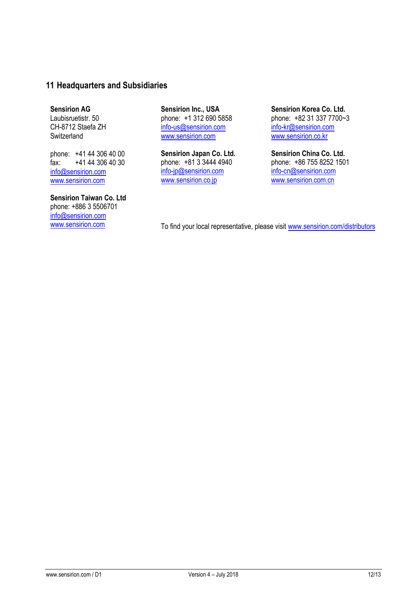## **11 Headquarters and Subsidiaries**

**Sensirion AG** Laubisruetistr. 50 CH-8712 Staefa ZH

**Switzerland** 

phone: +41 44 306 40 00 fax: +41 44 306 40 30 info@sensirion.com

www.sensirion.com

**Sensirion Taiwan Co. Ltd** phone: +886 3 5506701 info@sensirion.com

**Sensirion Inc., USA** phone: +1 312 690 5858 info-us@sensirion.com www.sensirion.com

**Sensirion Japan Co. Ltd.** phone: +81 3 3444 4940 info-jp@sensirion.com www.sensirion.co.jp

**Sensirion Korea Co. Ltd.** phone: +82 31 337 7700~3 info-kr@sensirion.com www.sensirion.co.kr

**Sensirion China Co. Ltd.** phone: +86 755 8252 1501 info-cn@sensirion.com www.sensirion.com.cn

www.sensirion.com To find your local representative, please visit www.sensirion.com/distributors